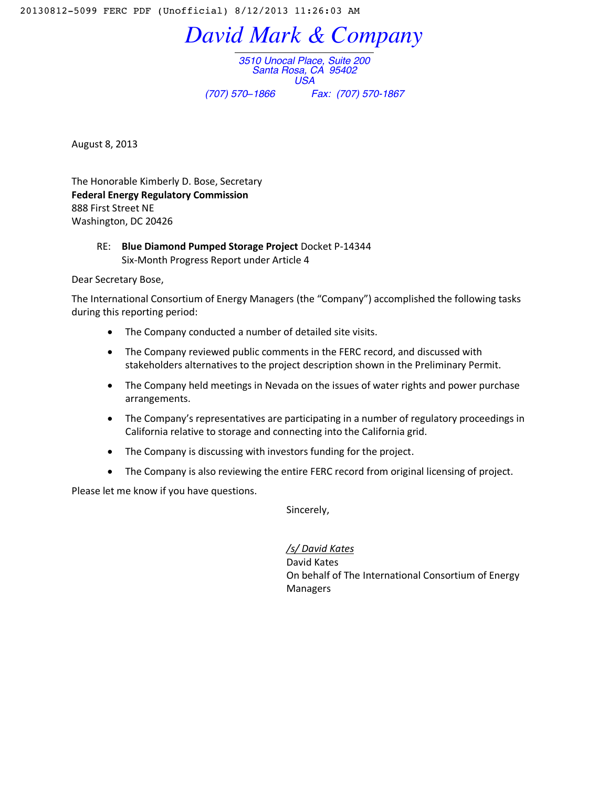20130812-5099 FERC PDF (Unofficial) 8/12/2013 11:26:03 AM

*David Mark & Company*

*3510 Unocal Place, Suite 200 Santa Rosa, CA 95402 USA (707) 570–1866 Fax: (707) 570-1867*

August 8, 2013

The Honorable Kimberly D. Bose, Secretary **Federal Energy Regulatory Commission** 888 First Street NE Washington, DC 20426

> RE: **Blue Diamond Pumped Storage Project** Docket P-14344 Six-Month Progress Report under Article 4

Dear Secretary Bose,

The International Consortium of Energy Managers (the "Company") accomplished the following tasks during this reporting period:

- The Company conducted a number of detailed site visits.
- The Company reviewed public comments in the FERC record, and discussed with stakeholders alternatives to the project description shown in the Preliminary Permit.
- The Company held meetings in Nevada on the issues of water rights and power purchase arrangements.
- The Company's representatives are participating in a number of regulatory proceedings in California relative to storage and connecting into the California grid.
- The Company is discussing with investors funding for the project.
- The Company is also reviewing the entire FERC record from original licensing of project.

Please let me know if you have questions.

Sincerely,

*/s/ David Kates* David Kates On behalf of The International Consortium of Energy Managers